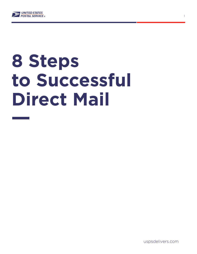

# **8 Steps to Successful Direct Mail**

uspsdelivers.com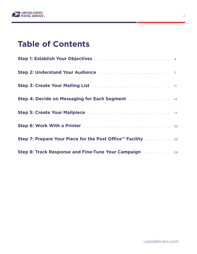

# **Table of Contents**

| Step 2: Understand Your Audience <b>Manual Accept Accept Accept Accept</b>                                               |  |
|--------------------------------------------------------------------------------------------------------------------------|--|
| Step 3: Create Your Mailing List <b>Election Contract Contract Step 3: Create Your Mailing List</b> 1. 2014. The Step 3: |  |
| Step 4: Decide on Messaging for Each Segment Alberta, Alberta, Manuel 14                                                 |  |
|                                                                                                                          |  |
|                                                                                                                          |  |
| Step 7: Prepare Your Piece for the Post Office™ Facility 25                                                              |  |
| Step 8: Track Response and Fine-Tune Your Campaign Alberts 20 29                                                         |  |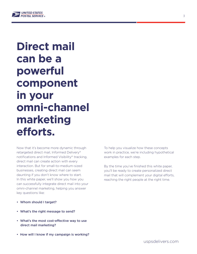

# **Direct mail can be a powerful component in your omni-channel marketing efforts.**

Now that it's become more dynamic through retargeted direct mail, Informed Delivery® notifications and Informed Visibility® tracking, direct mail can create action with every interaction. But for small-to-medium-sized businesses, creating direct mail can seem daunting if you don't know where to start. In this white paper, we'll show you how you can successfully integrate direct mail into your omni-channel marketing, helping you answer key questions like:

- Whom should I target?
- What's the right message to send?
- What's the most cost-effective way to use direct mail marketing?
- How will I know if my campaign is working?

To help you visualize how these concepts work in practice, we're including hypothetical examples for each step.

By the time you've finished this white paper, you'll be ready to create personalized direct mail that will complement your digital efforts, reaching the right people at the right time.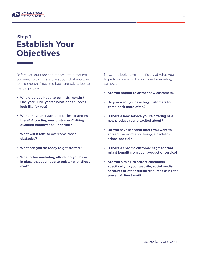

# **Establish Your Objectives Step 1**

Before you put time and money into direct mail, you need to think carefully about what you want to accomplish. First, step back and take a look at the big picture:

- Where do you hope to be in six months? One year? Five years? What does success look like for you?
- What are your biggest obstacles to getting there? Attracting new customers? Hiring qualified employees? Financing?
- What will it take to overcome those obstacles?
- What can you do today to get started?
- What other marketing efforts do you have in place that you hope to bolster with direct mail?

Now, let's look more specifically at what you hope to achieve with your direct marketing campaign:

- Are you hoping to attract new customers?
- Do you want your existing customers to come back more often?
- Is there a new service you're offering or a new product you're excited about?
- Do you have seasonal offers you want to spread the word about—say, a back-to school special?
- Is there a specific customer segment that might benefit from your product or service?
- Are you aiming to attract customers specifically to your website, social media accounts or other digital resources using the power of direct mail?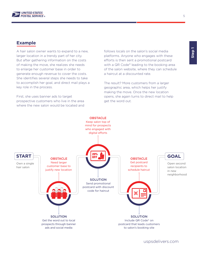

# **Example**

A hair salon owner wants to expand to a new, larger location in a trendy part of her city. But after gathering information on the costs of making the move, she realizes she needs to enlarge her customer base in order to generate enough revenue to cover the costs. She identifies several steps she needs to take to accomplish her goal, and direct mail plays a key role in the process.

First, she uses banner ads to target prospective customers who live in the area where the new salon would be located and follows locals on the salon's social media platforms. Anyone who engages with these efforts is then sent a promotional postcard with a QR Code® leading to the booking area of the salon website, where they can schedule a haircut at a discounted rate.

The result? More customers from a larger geographic area, which helps her justify making the move. Once the new location opens, she again turns to direct mail to help get the word out.



5

uspsdelivers.com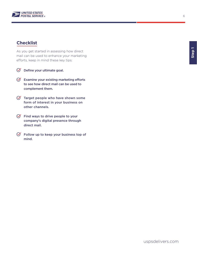

# **Checklist**

As you get started in assessing how direct mail can be used to enhance your marketing efforts, keep in mind these key tips:

- $\oslash$  Define your ultimate goal.
- $\Theta$  Examine your existing marketing efforts to see how direct mail can be used to complement them.
- $\sigma$  Target people who have shown some form of interest in your business on other channels.
- $\Theta$  Find ways to drive people to your company's digital presence through direct mail.
- $\Theta$  Follow up to keep your business top of mind.

6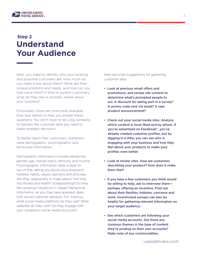

# **Understand Your Audience Step 2**

Next, you need to identify who your existing and potential customers are. How much do you really know about them? What are their unique problems and needs, and how can you help solve them? If they're current customers, what do they like or possibly dislike about your business?

Fortunately, there are more tools available than ever before to help you answer these questions. You don't have to be a big company to harness the customer data you need to make strategic decisions.

To better reach their customers, marketers need demographic, psychographic and behavioral information.

Demographic information includes details like gender, age, marital status, ethnicity and income. Psychographic information adds a layer on top of that, telling you about your prospects' hobbies, habits, values, opinions and attitudes. Are they vegetarians or meat eaters? Are they into fitness and health? Scrapbooking? Do they like camping? Vacations in Vegas? Behavioral information, as you may have guessed, deals with actual customer behavior. For instance, what social media platforms do they use? What websites do they visit? Do they engage with your company's social media accounts?

Here are a few suggestions for gathering customer data:

- Look at previous email offers and promotions, and review site content to determine what's prompted people to act. A discount for taking part in a survey? A promo code sent via email? A new product announcement?
- Check out your social media sites. Analyze which content is most liked and by whom. If you've advertised on Facebook®, you've already created customer profiles, but by digging in a little, you can see who is engaging with your business and how they feel about your products to make your profiles even better.
- Look at review sites. How are customers describing your product? How does it make them feel?
- If you have a few customers you think would be willing to help, ask to interview them perhaps offering an incentive. Find out about their families, hobbies, concerns and work. Incentivized surveys can also be helpful for gathering relevant information on your target audience.
- See which customers are following your social media accounts. Are there any common themes in the type of content they're posting on their own accounts? Make note of any commonalities.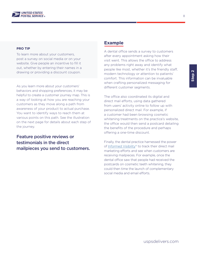

#### **PRO TIP**

To learn more about your customers, post a survey on social media or on your website. Give people an incentive to fill it out, whether by entering their names in a drawing or providing a discount coupon.

As you learn more about your customers' behaviors and shopping preferences, it may be helpful to create a customer journey map. This is a way of looking at how you are reaching your customers as they move along a path from awareness of your product to actual purchase. You want to identify ways to reach them at various points on this path. See the illustration on the next page for details about each step of the journey.

Feature positive reviews or testimonials in the direct mailpieces you send to customers.

### **Example**

A dental office sends a survey to customers after every appointment asking how their visit went. This allows the office to address any problems right away and identify what people like most, whether it's the friendly staff, modern technology or attention to patients' comfort. This information can be invaluable when crafting personalized messaging for different customer segments.

The office also coordinated its digital and direct mail efforts, using data gathered from users' activity online to follow up with personalized direct mail. For example, if a customer had been browsing cosmetic whitening treatments on the practice's website, the office would then send a postcard detailing the benefits of the procedure and perhaps offering a one-time discount.

Finally, the dental practice harnessed the power of [Informed Visibility](https://www.uspsdelivers.com/track-your-direct-mail-with-informed-visibility/)® to track their direct mail marketing efforts and see when customers are receiving mailpieces. For example, once the dental office saw that people had received the postcards on cosmetic teeth whitening, they could then time the launch of complementary social media and email efforts.

8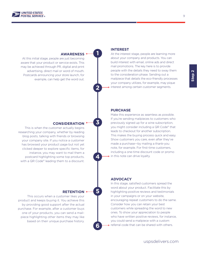

### **AWARENESS**

At this initial stage, people are just becoming aware that your product or service exists. This may be achieved through PR, digital and print advertising, direct mail or word of mouth. Postcards announcing your store launch, for example, can help get the word out.

# **CONSIDERATION**

This is when the customer actually begins researching your company, whether by reading blog posts, talking with friends or browsing your company site. If you notice a customer has browsed your product page but not yet clicked deeper to explore specific items, for instance, you may want to mail them a postcard highlighting some top products, with a QR Code® leading them to a discount.

#### **RETENTION**  $\circ$

This occurs when a customer likes your product and keeps buying it. You achieve this by providing good support after the actual purchase. For example, after a customer buys one of your products, you can send a mailpiece highlighting other items they may like based on their unique purchase history.

### **INTEREST**

**1**

**2**

**3**

**4**

**5**

**6**

At the interest stage, people are learning more about your company and products. You can build interest with email, online ads and direct mail promotions. The key here is to provide people with the details they need to sway them to the consideration phase. Sending out a mailpiece that details the eco-friendly processes your company utilizes, for example, may pique interest among certain customer segments.

#### **PURCHASE**

Make this experience as seamless as possible. If you're sending mailpieces to customers who previously signed up for a wine subscription, you might consider including a QR Code® that leads to checkout for another subscription. This makes the buying process quick and easy. Show customers you care, even after they've made a purchase—by mailing a thank-you note, for example. For first-time customers, including a one-time discount code or promo in this note can drive loyalty.

#### **ADVOCACY**

In this stage, satisfied customers spread the word about your product. Facilitate this by highlighting positive reviews and testimonials in your campaigns or on your website, encouraging repeat customers to do the same. Consider how you can retain your best customers while spreading the word to new ones. To show your appreciation to people who have written positive reviews, for instance, you could send a mailpiece with a custom referral code that can be shared with others.

uspsdelivers.com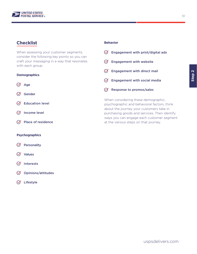

# **Checklist Behavior**

When assessing your customer segments, consider the following key points so you can craft your messaging in a way that resonates with each group.

### **Demographics**

- $\varnothing$  Age
- $\oslash$  Gender
- $\oslash$  Education level
- $\oslash$  Income level
- $\oslash$  Place of residence

#### **Psychographics**

- $\oslash$  Personality
- $\varnothing$  Values
- $\oslash$  Interests
- $\oslash$  Opinions/attitudes
- Lifestyle

| Engagement with print/digital ads               |
|-------------------------------------------------|
| <b>Engagement with website</b><br>$\mathcal{N}$ |
| <b>Engagement with direct mail</b><br>$\sim$    |
| <b>Engagement with social media</b><br>$\sim$   |
| Response to promos/sales                        |
| When considering these demographic,             |

psychographic and behavioral factors, think about the journey your customers take in purchasing goods and services. Then identify ways you can engage each customer segment at the various steps on that journey.

10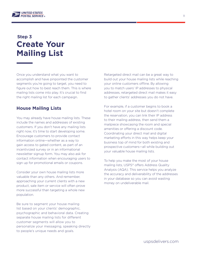

# **Create Your Mailing List Step 3**

Once you understand what you want to accomplish and have pinpointed the customer segments you're going to target, you need to figure out how to best reach them. This is where mailing lists come into play. It's crucial to find the right mailing list for each campaign.

# **House Mailing Lists**

You may already have house mailing lists. These include the names and addresses of existing customers. If you don't have any mailing lists right now, it's time to start developing some. Encourage customers to provide contact information online—whether as a way to gain access to gated content, as part of an incentivized survey or in an informational newsletter signup form. You may also ask for contact information when encouraging users to sign up for promotional emails or coupons.

Consider your own house mailing lists more valuable than any others. And remember, approaching your current clients with a new product, sale item or service will often prove more successful than targeting a whole new population.

Be sure to segment your house mailing list based on your clients' demographic, psychographic and behavioral data. Creating separate house mailing lists for different customer segments will allow you to personalize your messaging, speaking directly to people's unique needs and goals.

Retargeted direct mail can be a great way to build out your house mailing lists while reaching your online customers offline. By allowing you to match users' IP addresses to physical addresses, retargeted direct mail makes it easy to gather clients' addresses you do not have.

For example, if a customer begins to book a hotel room on your site but doesn't complete the reservation, you can link their IP address to their mailing address, then send them a mailpiece showcasing the room and special amenities or offering a discount code. Coordinating your direct mail and digital marketing efforts in this way helps keep your business top of mind for both existing and prospective customers—all while building out your valuable house mailing lists.

To help you make the most of your house mailing lists, USPS® offers Address Quality Analysis (AQA). This service helps you analyze the accuracy and deliverability of the addresses in your database so you can avoid wasting money on undeliverable mail.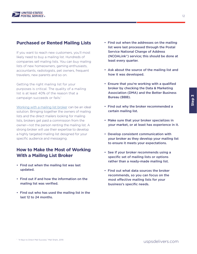

# **Purchased or Rented Mailing Lists**

If you want to reach new customers, you'll most likely need to buy a mailing list. Hundreds of companies sell mailing lists. You can buy mailing lists of new homeowners, gaming enthusiasts, accountants, radiologists, pet owners, frequent travelers, new parents and so on.

Getting the right mailing list for your purposes is critical. The quality of a mailing list is at least 40% of the reason that a campaign succeeds or fails.<sup>1</sup>

[Working with a mailing list broker](https://www.uspsdelivers.com/6-helpful-tips-for-working-with-list-brokers/) can be an ideal solution. Bringing together the owners of mailing lists and the direct mailers looking for mailing lists, brokers get paid a commission from the owner—not the person renting the mailing list. A strong broker will use their expertise to develop a highly targeted mailing list designed for your specific audience and messaging.

# **How to Make the Most of Working With a Mailing List Broker**

- Find out when the mailing list was last updated.
- Find out if and how the information on the mailing list was verified.
- Find out who has used the mailing list in the last 12 to 24 months.
- Find out when the addresses on the mailing list were last processed through the Postal Service National Change of Address (NCOALink®) service; this should be done at least every quarter.
- Ask about the source of the mailing list and how it was developed.
- Ensure that you're working with a qualified broker by checking the Data & Marketing Association (DMA) and the Better Business Bureau (BBB).
- Find out why the broker recommended a certain mailing list.
- Make sure that your broker specializes in your market, or at least has experience in it.
- Develop consistent communication with your broker as they develop your mailing list to ensure it meets your expectations.
- See if your broker recommends using a specific set of mailing lists or options rather than a ready-made mailing list.
- Find out what data sources the broker recommends, so you can focus on the most effective mailing lists for your business's specific needs.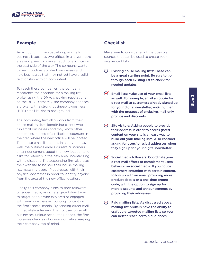

An accounting firm specializing in smallbusiness issues has two offices in a large metro area and plans to open an additional office on the east side of the city. The company wants to reach both established businesses and new businesses that may not yet have a solid relationship with an accountant.

To reach these companies, the company researches their options for a mailing list broker using the DMA, checking reputations on the BBB. Ultimately, the company chooses a broker with a strong business-to-business (B2B) small-business background.

The accounting firm also works from their house mailing lists, identifying clients who run small businesses and may know other companies in need of a reliable accountant in the area where the new office will be located. The house email list comes in handy here as well; the business emails current customers an announcement about the new location and asks for referrals in the new area, incentivizing with a discount. The accounting firm also uses their website to bolster their house mailing list, matching users' IP addresses with their physical addresses in order to identify anyone from the area of the new office location.

Finally, this company turns to their followers on social media, using retargeted direct mail to target people who explored or engaged with small-business accounting content on the firm's social media. By sending direct mail immediately afterward that focuses on small businesses' unique accounting needs, the firm increases chances of conversion while keeping their company top of mind.

# **Example Checklist**

Make sure to consider all of the possible sources that can be used to create your segmented lists.

- $\oslash$ Existing house mailing lists: These can be a great starting point. Be sure to go through each existing list to check for needed updates.
- $\infty$ Email lists: Make use of your email lists as well. For example, email an opt-in for direct mail to customers already signed up for your digital newsletter, enticing them with the prospect of exclusive, mail-only promos and discounts.
- $\Theta$  Site visitors: Asking people to provide their address in order to access gated content on your site is an easy way to build out your mailing lists. Also consider asking for users' physical addresses when they sign up for your digital newsletter.
- $\oslash$  Social media followers: Coordinate your direct mail efforts to complement users' behavior on social media. If you notice customers engaging with certain content, follow up with an email providing more product details or a one-time promo code, with the option to sign up for more discounts and announcements by providing their addresses.
- $\varnothing$  Paid mailing lists: As discussed above, mailing list brokers have the ability to craft very targeted mailing lists so you can better reach certain audiences.

13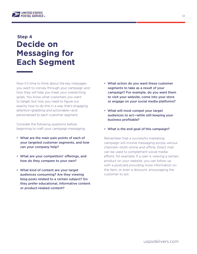

# **Decide on Messaging for Each Segment Step 4**

Now it's time to think about the key messages you want to convey through your campaign and how they will help you meet your overarching goals. You know what customers you want to target, but now you need to figure out exactly how to do this in a way that's engaging, attention-grabbing and actionable—and personalized to each customer segment.

Consider the following questions before beginning to craft your campaign messaging:

- What are the main pain points of each of your targeted customer segments, and how can your company help?
- What are your competitors' offerings, and how do they compare to your own?
- What kind of content are your target audiences consuming? Are they viewing blog posts related to a certain subject? Do they prefer educational, informative content or product-related content?
- What action do you want these customer segments to take as a result of your campaign? For example, do you want them to visit your website, come into your store or engage on your social media platforms?
- What will most compel your target audiences to act—while still keeping your business profitable?
- What is the end goal of this campaign?

Remember that a successful marketing campaign will involve messaging across various channels—both online and offline. Direct mail can be used to complement social media efforts, for example: If a user is viewing a certain product on your website, you can follow up with a postcard providing more information on the item, or even a discount, encouraging the customer to act.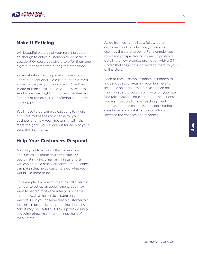

# **Make It Enticing**

Will beautiful pictures of your resort property be enough to entice customers to book their vacation? Or could you afford to offer them one night out of seven free during the off-season?

Personalization can help make these kinds of offers more enticing. If a customer has viewed a specific property on your site, or "liked" an image of it on social media, you may want to send a postcard highlighting the amenities and features of the property or offering a one-time booking promo.

You'll need to do some calculations to figure out what makes the most sense for your business and how your messaging will help meet the goals you've laid out for each of your customer segments.

# **Help Your Customers Respond**

A strong call to action is the cornerstone of a successful marketing campaign. By coordinating direct mail and digital efforts, you can create a highly effective omni-channel campaign that helps customers do what you would like them to do.

For example, if you want them to call a certain number to set up an appointment, you may want to send a mailpiece after you observe them browsing the services page on your website. Or if you observe that a customer has left certain products in their online shopping cart, it may be useful to follow up with visually engaging direct mail that reminds them of these items.

Aside from using mail as a follow-up to customers' online activities, you can also use it as the starting point. For example, you may send prospective customers a postcard detailing a new product promotion with a QR Code® that they can scan, leading them to your online store.

Each of these examples points customers to a clear-cut action—calling your business to schedule an appointment, revisiting an online shopping cart, browsing products on your site. The takeaway? Being clear about the actions you want people to take, reaching clients through multiple channels and coordinating direct mail and digital campaign efforts increase the chances of a response.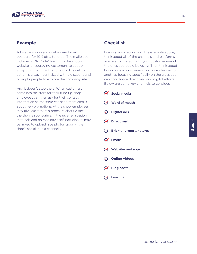

A bicycle shop sends out a direct mail postcard for 10% off a tune-up. The mailpiece includes a QR Code® linking to the shop's website, encouraging customers to set up an appointment for the tune-up. The call to action is clear, incentivized with a discount and prompts people to explore the company site.

And it doesn't stop there: When customers come into the store for their tune-up, shop employees can then ask for their contact information so the store can send them emails about new promotions. At the shop, employees may give customers a brochure about a race the shop is sponsoring. In the race registration materials and on race day itself, participants may be asked to upload race photos tagging the shop's social media channels.

# **Example Checklist**

Drawing inspiration from the example above, think about all of the channels and platforms you use to interact with your customers—and the ones you could be using. Then think about how you lead customers from one channel to another, focusing specifically on the ways you can coordinate direct mail and digital efforts. Below are some key channels to consider.

- $\oslash$  Social media  $\oslash$  Word of mouth  $\oslash$  Digital ads  $\oslash$  Direct mail  $\oslash$  Brick-and-mortar stores  $\varnothing$  Emails  $\oslash$  Websites and apps  $\oslash$  Online videos
- Blog posts
- $\varnothing$  Live chat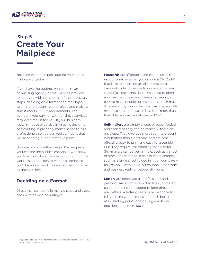

# **Step 5 Create Your Mailpiece**

Now comes the fun part: putting your actual mailpiece together.

If you have the budget, you can hire an advertising agency or mail service provider to help you with some or all of the necessary steps: deciding on a format and mail type, writing and designing your piece and making sure it meets USPS® requirements. The company you partner with for these services may even mail it for you. If your business lacks in-house expertise in graphic design or copywriting, it probably makes sense to hire professionals so you can feel confident that you're sending out an effective piece.

However, if you'd rather design the mailpiece yourself and are budget-conscious, we'll show you how. Even if you decide to contract out the work, it's a good idea to read this section so you'll be able to work more effectively with the agency you hire.

# **Deciding on a Format**

Direct mail can come in many shapes and sizes, each with its own advantages.

**Postcards** are affordable and can be used in various ways, whether you include a QR Code® that links to an exclusive sale or provide a discount code for people to use in your online store. Plus, recipients don't even need to open an envelope to read your message, making it easy to reach people sorting through their mail. A recent study shows that postcards have a 12% response rate to house mailing lists—more than that of letter-sized envelopes, at 10%.<sup>1</sup>

**Self-mailers** are simply sheets of paper folded and sealed so they can be mailed without an envelope. They give you more room to present information than a postcard, and are costeffective, easy to print and easy to assemble. Plus, they require less handling than a letter. Self-mailers can be very simple, such as a sheet of stock paper folded in half, or more complex, such as a large sheet folded in ingenious ways for example, with a tear-off coupon, order form and business reply envelope, all in one.

**Letters** are perceived as professional and personal. Research shows that highly targeted customers tend to respond to long directmail letters. A letter gives you more space to tell your story, and stories are much better at illustrating points and driving emotional decisions than mere facts.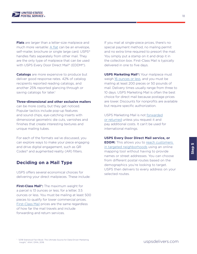

**Flats** are larger than a letter-size mailpiece and much more versatile: [A flat](https://pe.usps.com/businessmail101?ViewName=Flats) can be an envelope, self-mailer, brochure or single large card. USPS<sup>®</sup> handles flats separately from other mail. They are the only type of mailpiece that can be used with USPS Every Door Direct Mail® (EDDM®).

**Catalogs** are more expensive to produce but deliver good response rates. 42% of catalog recipients reported reading catalogs, and another 25% reported glancing through or saving catalogs for later.<sup>1</sup>

#### **Three-dimensional and other exclusive mailers**

can be more costly, but they get noticed. Popular tactics include pop-up features and sound chips, eye-catching inserts with dimensional geometric die cuts, varnishes and finishes that create interesting textures and unique mailing tubes.

For each of the formats we've discussed, you can explore ways to make your piece engaging and drive digital engagement, such as QR Codes® and augmented reality (AR) filters.

# **Deciding on a Mail Type**

USPS offers several economical choices for delivering your direct mailpieces. These include:

**First-Class Mail®:** The maximum weight for a parcel is 13 ounces or less; for a letter, 3.5 ounces or less. You must be mailing at least 500 pieces to qualify for lower commercial prices. [First-Class Mail](https://www.usps.com/ship/first-class-mail.htm) prices are the same regardless of how far the mail travels and include forwarding and return services.

If you mail at single-piece prices, there's no special payment method, no mailing permit and no extra time required to presort the mail. You simply put a stamp on it and drop it in the collection box. First-Class Mail is typically delivered in one to five days.

**USPS Marketing Mail®: Your mailpiece must** weigh [16 ounces or less,](https://pe.usps.com/StandardMailEligibility/Index) and you must be mailing at least 200 pieces or 50 pounds of mail. Delivery times usually range from three to 10 days. USPS Marketing Mail is often the best choice for direct mail because postage prices are lower. Discounts for nonprofits are available but require specific authorization.

USPS Marketing Mail is not [forwarded](https://pe.usps.com/businessmail101?ViewName=StandardMail) [or returned](https://pe.usps.com/businessmail101?ViewName=StandardMail) unless you request it and pay additional costs. It can't be used for international mailings.

#### **USPS Every Door Direct Mail service, or**

**EDDM:** This allows you to reach customers [in targeted neighborhoods](https://www.usps.com/business/every-door-direct-mail.htm) using an online mapping tool without having to provide names or street addresses. You can choose from different postal routes based on the demographics you're looking to target. USPS then delivers to every address on your selected routes.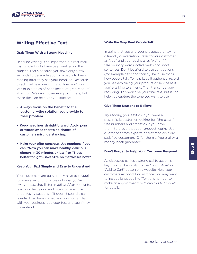

# **Writing Effective Text**

#### **Grab Them With a Strong Headline**

Headline writing is so important in direct mail that whole books have been written on the subject. That's because you have only a few seconds to persuade your prospects to keep reading after they see your headline. Research direct mail headline writing online; you'll find lots of examples of headlines that grab readers' attention. We can't cover everything here, but these tips can help get you started:

- Always focus on the benefit to the customer—the solution you provide to their problem.
- Keep headlines straightforward. Avoid puns or wordplay so there's no chance of customers misunderstanding.
- Make your offer concrete. Use numbers if you can: "Now you can make healthy, delicious dinners in 30 minutes or less " or "Sleep better tonight—save 50% on mattresses now."

#### **Keep Your Text Simple and Easy to Understand**

Your customers are busy. If they have to struggle for even a second to figure out what you're trying to say, they'll stop reading. After you write, read your text aloud and listen for repetitive or confusing sections. If it doesn't sound clear, rewrite. Then have someone who's not familiar with your business read your text and see if they understand it.

#### **Write the Way Real People Talk**

Imagine that you and your prospect are having a friendly conversation. Refer to your customer as "you," and your business as "we" or "I." Use ordinary words, active verbs and short sentences. Don't be afraid to use contractions (for example, "it's" and "can't"), because that's how people talk. To help keep it authentic, record yourself explaining your product or service as if you're talking to a friend. Then transcribe your recording. This won't be your final text, but it can help you capture the tone you want to use.

#### **Give Them Reasons to Believe**

Try reading your text as if you were a pessimistic customer looking for "the catch." Use numbers and statistics if you have them, to prove that your product works. Use quotations from experts or testimonials from satisfied customers. Offer them a free trial or a money-back guarantee.

#### **Don't Forget to Help Your Customer Respond**

As discussed earlier, a strong call to action is key. This can be similar to the "Learn More" or "Add to Cart" button on a website. Help your customers respond. For instance, you may want to include language like "Text this number to make an appointment" or "Scan this QR Code® for details."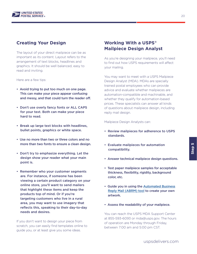

# **Creating Your Design**

The layout of your direct mailpiece can be as important as its content. Layout refers to the arrangement of text blocks, headlines and graphics. It should be well balanced, easy to read and inviting.

Here are a few tips:

- Avoid trying to put too much on one page. This can make your piece appear confusing and messy, and that could turn the reader off.
- Don't use overly fancy fonts or ALL CAPS for your text. Both can make your piece hard to read.
- Break up large text blocks with headlines, bullet points, graphics or white space.
- Use no more than two or three colors and no more than two fonts to ensure a clean design.
- Don't try to emphasize everything. Let the design show your reader what your main point is.
- Remember who your customer segments are. For instance, if someone has been viewing a certain product category on your online store, you'll want to send mailers that highlight these items and keep the products top of mind. Or if you're targeting customers who live in a rural area, you may want to use imagery that reflects this, speaking to their day-to-day needs and desires.

If you don't want to design your piece from scratch, you can easily find templates online to guide you, or at least give you some ideas.

# **Working With a USPS® Mailpiece Design Analyst**

As you're designing your mailpiece, you'll need to find out how USPS requirements will affect your mailing.

You may want to meet with a USPS Mailpiece Design Analyst (MDA). MDAs are specially trained postal employees who can provide advice and evaluate whether mailpieces are automation-compatible and machinable, and whether they qualify for automation-based prices. These specialists can answer all kinds of questions about mailpiece design, including reply mail design.

#### Mailpiece Design Analysts can:

- Review mailpieces for adherence to USPS standards.
- Evaluate mailpieces for automation compatibility.
- Answer technical mailpiece design questions.
- Test paper mailpiece samples for acceptable thickness, flexibility, rigidity, background color, etc.
- Guide you in using the [Automated Business](https://postalpro.usps.com/mailing/abrm-tool)  [Reply Mail \(ABRM\) tool](https://postalpro.usps.com/mailing/abrm-tool) to create your own artwork.
- Assess the readability of your mailpiece.

You can reach the USPS MDA Support Center at 855-593-6093 or mda@usps.gov. The hours of operation are Monday through Friday, between 7:00 am and 5:00 pm CST.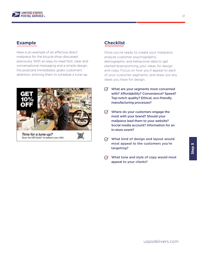

# **Example**

Here is an example of an effective direct mailpiece for the bicycle shop discussed previously. With an easy-to-read font, clear and conversational messaging and a simple design, the postcard immediately grabs customers' attention, enticing them to schedule a tune-up.



# **Checklist**

Once you're ready to create your mailpiece, analyze customer psychographic, demographic and behavioral data to get started brainstorming your ideas for design and copy. Focus on how you'll appeal to each of your customer segments, and draw out any ideas you have for design.

- $\oslash$  What are your segments most concerned with? Affordability? Convenience? Speed? Top-notch quality? Ethical, eco-friendly manufacturing processes?
- $\oslash$  Where do your customers engage the most with your brand? Should your mailpiece lead them to your website? Social media account? Information for an in-store event?
- $\oslash$  What kind of design and layout would most appeal to the customers you're targeting?
- $\varnothing$  What tone and style of copy would most appeal to your clients?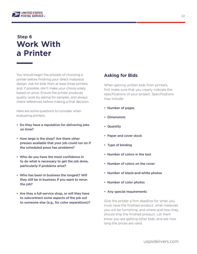

# **Step 6 Work With a Printer**

You should begin the process of choosing a printer before finishing your direct mailpiece design. Ask for bids from at least three printers and, if possible, don't make your choice solely based on price. Ensure the printer produces quality work by asking for samples, and always check references before making a final decision.

Here are some questions to consider when evaluating printers:

- Do they have a reputation for delivering jobs on time?
- How large is the shop? Are there other presses available that your job could run on if the scheduled press has problems?
- Who do you have the most confidence in to do what is necessary to get the job done, particularly if problems arise?
- Who has been in business the longest? Will they still be in business if you want to rerun the job?
- Are they a full-service shop, or will they have to subcontract some aspects of the job out to someone else (e.g., for color separations)?

# **Asking for Bids**

When getting written bids from printers, first make sure that you clearly indicate the specifications of your project. Specifications may include:

- Number of pages
- Dimensions
- Quantity
- Paper and cover stock
- Type of binding
- Number of colors in the text
- Number of colors on the cover
- Number of black-and-white photos
- Number of color photos
- Any special requirements

Give the printer a firm deadline for when you must have the finished product, what materials you will be furnishing, and where and how they should ship the finished product. Let them know you are getting other bids, and ask how long the prices are valid.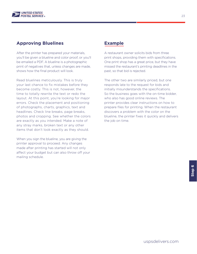

# **Approving Bluelines**

After the printer has prepared your materials, you'll be given a blueline and color proof, or you'll be emailed a PDF. A blueline is a photographic print of negatives that, unless changes are made, shows how the final product will look.

Read bluelines meticulously. This is truly your last chance to fix mistakes before they become costly. This is not, however, the time to totally rewrite the text or redo the layout. At this point, you're looking for major errors. Check the placement and positioning of photographs, charts, graphics, text and headlines. Check line breaks, page breaks, photos and cropping. See whether the colors are exactly as you intended. Make a note of any stray marks, broken text or any other items that don't look exactly as they should.

When you sign the blueline, you are giving the printer approval to proceed. Any changes made after printing has started will not only affect your budget but can also throw off your mailing schedule.

# **Example**

A restaurant owner solicits bids from three print shops, providing them with specifications. One print shop has a great price, but they have missed the restaurant's printing deadlines in the past, so that bid is rejected.

The other two are similarly priced, but one responds late to the request for bids and initially misunderstands the specifications. So the business goes with the on-time bidder, who also has good online reviews. The printer provides clear instructions on how to prepare files for printing. When the restaurant discovers a problem with the color on the blueline, the printer fixes it quickly and delivers the job on time.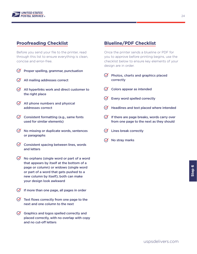

# **Proofreading Checklist**

Before you send your file to the printer, read through this list to ensure everything is clean, concise and error-free.

- $\infty$ Proper spelling, grammar, punctuation
- $\varnothing$  All mailing addresses correct
- $\Theta$  All hyperlinks work and direct customer to the right place
- $\Theta$  All phone numbers and physical addresses correct
- $\oslash$  Consistent formatting (e.g., same fonts used for similar elements)
- $\Theta$  No missing or duplicate words, sentences or paragraphs
- $\Theta$  Consistent spacing between lines, words and letters
- $\Theta$  No orphans (single word or part of a word that appears by itself at the bottom of a page or column) or widows (single word or part of a word that gets pushed to a new column by itself); both can make your design look awkward
- $\Theta$  If more than one page, all pages in order
- $\varnothing$  Text flows correctly from one page to the next and one column to the next
- $\Theta$  Graphics and logos spelled correctly and placed correctly, with no overlap with copy and no cut-off letters

# **Blueline/PDF Checklist**

Once the printer sends a blueline or PDF for you to approve before printing begins, use the checklist below to ensure key elements of your design are in order.

- $\Theta$  Photos, charts and graphics placed correctly
- $\oslash$  Colors appear as intended
- $\Theta$  Every word spelled correctly
- $\Theta$  Headlines and text placed where intended
- $\bigcirc$  If there are page breaks, words carry over from one page to the next as they should
- $\varnothing$  Lines break correctly
- No stray marks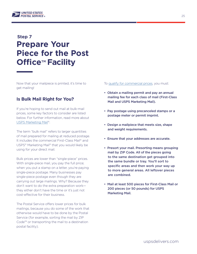

# **Prepare Your Piece for the Post Office™ Facility Step 7**

Now that your mailpiece is printed, it's time to get mailing!

# **Is Bulk Mail Right for You?**

If you're hoping to send out mail at bulk-mail prices, some key factors to consider are listed below. For further information, read more about [USPS Marketing Mail®](https://pe.usps.com/businessmail101?ViewName=StandardMail).

The term "bulk mail" refers to larger quantities of mail prepared for mailing at reduced postage. It includes the commercial First-Class Mail® and USPS® Marketing Mail® that you would likely be using for your direct mail.

Bulk prices are lower than "single-piece" prices. With single-piece mail, you pay the full price; when you put a stamp on a letter, you're paying single-piece postage. Many businesses pay single-piece postage even though they are carrying out large mailings. Why? Because they don't want to do the extra preparation work they either don't have the time or it's just not cost-effective for their business.

The Postal Service offers lower prices for bulk mailings, because you do some of the work that otherwise would have to be done by the Postal Service (for example, sorting the mail by ZIP Code™ or transporting the mail to a destination postal facility).

To [qualify for commercial prices,](https://pe.usps.com/BusinessMail101?ViewName=WhatIsBulkMail) you must:

- Obtain a mailing permit and pay an annual mailing fee for each class of mail (First-Class Mail and USPS Marketing Mail).
- Pay postage using precanceled stamps or a postage meter or permit imprint.
- Design a mailpiece that meets size, shape and weight requirements.
- Ensure that your addresses are accurate.
- Presort your mail. Presorting means grouping mail by ZIP Code. All of the pieces going to the same destination get grouped into the same bundle or tray. You'll sort to specific areas and then work your way up to more general areas. All leftover pieces are combined.
- Mail at least 500 pieces for First-Class Mail or 200 pieces (or 50 pounds) for USPS Marketing Mail.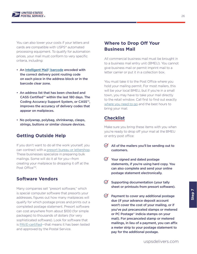

You can also lower your costs if your letters and cards are compatible with USPS® automated processing equipment. To qualify for automation prices, your mail must conform to very specific criteria, including:

- An [Intelligent Mail® barcode](https://postalpro.usps.com/mailing/intelligent-mail-barcode) encoded with the correct delivery point routing code on each piece in the address block or in the barcode clear zone.
- An address list that has been checked and CASS Certified™ within the last 180 days. The Coding Accuracy Support System, or CASS™, improves the accuracy of delivery codes that appear on mailpieces.
- No polywrap, polybag, shrinkwrap, clasps, strings, buttons or similar closure devices.

# **Getting Outside Help**

If you don't want to do all the work yourself, you can contract with a [presort bureau or lettershop.](https://pe.usps.com/BusinessMail101?ViewName=SortingMail) These businesses specialize in preparing bulk mailings. Some will do it all for you—from creating your mailpiece to dropping it off at the Post Office<sup>TM</sup>

# **Software Vendors**

Many companies sell "presort software," which is special computer software that presorts your addresses, figures out how many mailpieces will qualify for which postage prices and prints out a completed postage statement. Presort software can cost anywhere from about \$100 (for simple packages) to thousands of dollars (for very sophisticated software). Look for software that is [PAVE-certified](https://postalpro.usps.com/certifications/pave)—that means it has been tested and approved by the Postal Service.

# **Where to Drop Off Your Business Mail**

All commercial business mail must be brought in to a business mail entry unit (BMEU). You cannot give business mail or permit imprint mail to a letter carrier or put it in a collection box.

You must take it to the Post Office where you hold your mailing permit. For most mailers, this will be your local BMEU, but if you're in a small town, you may have to take your mail directly to the retail window. Call first to find out exactly [where you need to go](https://postalpro.usps.com/locators/find-bme) and the best hours to bring your mail.

# **Checklist**

Make sure you bring these items with you when you're ready to drop off your mail at the BMEU or entry post office:

- $\Theta$  All of the mailers you'll be sending out to customers.
- $\Theta$  Your signed and dated postage statements, if you're using hard copy. You can also complete and send your online postage statement electronically.
- $\Theta$  Supporting documentation (your tally sheet or printouts from presort software).
- $\Theta$  Payment to cover any additional postage due (if your advance deposit account won't cover the cost of your mailing, or if you've put precanceled stamps or metered or PC Postage® indicia stamps on your mail). For precanceled stamp or metered mailings, in lieu of a payment, you can affix a meter strip to your postage statement to pay for the additional postage.

**Step 7**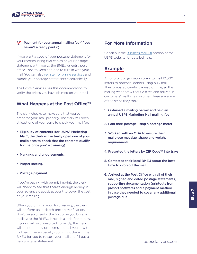

### $\varnothing$  Payment for your annual mailing fee (if you haven't already paid it).

If you want a copy of your postage statement for **ICOO USPS** website for detailed help. your records, bring two copies of your postage statement with you to the BMEU or entry post office—one to keep and one to turn in with your mail. You can also [register for online services](https://pe.usps.com/BusinessMail101?ViewName=PostageStatement) and submit your postage statements electronically.

The Postal Service uses this documentation to verify the prices you have claimed on your mail.

### **What Happens at the Post Office™**

The clerk checks to make sure that you've prepared your mail properly. The clerk will open at least one of your trays to check your mail for:

- Eligibility of contents (for USPS® Marketing Mail®, the clerk will actually open one of your mailpieces to check that the contents qualify for the price you're claiming).
- Markings and endorsements.
- Proper sorting.
- Postage payment.

If you're paying with permit imprint, the clerk will check to see that there's enough money in your advance deposit account to cover the cost of your mailing.

When you bring in your first mailing, the clerk will perform an in-depth presort verification. Don't be surprised if the first time you bring a mailing to the BMEU, it needs a little fine-tuning. If your mail isn't presorted correctly, the clerk will point out any problems and tell you how to fix them. There's usually room right there in the BMEU for you to re-sort your mail and fill out a new postage statement.

### **For More Information**

Check out the [Business Mail 101](https://pe.usps.com/businessmail101/) section of the

# **Example**

A nonprofit organization plans to mail 10,000 letters to potential donors using bulk mail. They prepared carefully ahead of time, so the mailing went off without a hitch and arrived in customers' mailboxes on time. These are some of the steps they took:

- 1. Obtained a mailing permit and paid an annual USPS Marketing Mail mailing fee
- 2. Paid their postage using a postage meter
- 3. Worked with an MDA to ensure their mailpiece met size, shape and weight requirements
- 4. Presorted the letters by ZIP Code™ into trays
- 5. Contacted their local BMEU about the best time to drop off the mail
- 6. Arrived at the Post Office with all of their mail, signed and dated postage statements, supporting documentation (printouts from presort software) and a payment method in case they needed to cover any additional postage due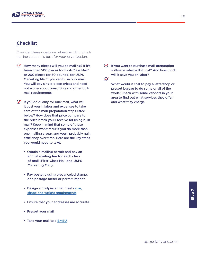

# **Checklist**

Consider these questions when deciding which mailing solution is best for your organization.

- $\Theta$  How many pieces will you be mailing? If it's fewer than 500 pieces for First-Class Mail® or 200 pieces (or 50 pounds) for USPS Marketing Mail®, you can't use bulk mail. You will pay single-piece prices and need not worry about presorting and other bulk mail requirements.
- $\Theta$  If you do qualify for bulk mail, what will it cost you in labor and expenses to take care of the mail-preparation steps listed below? How does that price compare to the price break you'll receive for using bulk mail? Keep in mind that some of these expenses won't recur if you do more than one mailing a year, and you'll probably gain efficiency over time. Here are the key steps you would need to take:
	- Obtain a mailing permit and pay an annual mailing fee for each class of mail (First-Class Mail and USPS Marketing Mail).
	- Pay postage using precanceled stamps or a postage meter or permit imprint.
	- Design a mailpiece that meets [size,](https://pe.usps.com/text/dmm300/dmm300_landing.htm)  [shape and weight requirements.](https://pe.usps.com/text/dmm300/dmm300_landing.htm)
	- Ensure that your addresses are accurate.
	- Presort your mail.
	- Take your mail to a [BMEU](https://postalpro.usps.com/node/1623).

 $\Theta$  If you want to purchase mail-preparation software, what will it cost? And how much will it save you on labor?

 $\oslash$ 

What would it cost to pay a lettershop or presort bureau to do some or all of the work? Check with some vendors in your area to find out what services they offer and what they charge.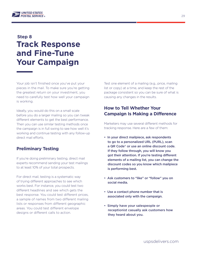

# **Track Response and Fine-Tune Your Campaign Step 8**

Your job isn't finished once you've put your pieces in the mail. To make sure you're getting the greatest return on your investment, you need to carefully test how well your campaign is working.

Ideally, you would do this on a small scale before you do a larger mailing so you can tweak different elements to get the best performance. Then you can use similar testing methods once the campaign is in full swing to see how well it's working and continue testing with any follow-up direct mail efforts.

# **Preliminary Testing**

If you're doing preliminary testing, direct mail experts recommend sending your test mailings to at least 10% of your total prospects.

For direct mail, testing is a systematic way of trying different approaches to see which works best. For instance, you could test two different headlines and see which gets the best response. You could test different prices, a sample of names from two different mailing lists or responses from different geographic areas. You could test different envelope designs or different calls to action.

Test one element of a mailing (e.g., price, mailing list or copy) at a time, and keep the rest of the package consistent so you can be sure of what is causing any changes in the results.

# **How to Tell Whether Your Campaign Is Making a Difference**

Marketers may use several different methods for tracking response. Here are a few of them:

- In your direct mailpiece, ask respondents to go to a personalized URL (PURL), scan a QR Code® or use an online discount code. If they follow through, you will know you got their attention. If you're testing different elements of a mailing list, you can change the discount codes so you know which mailpiece is performing best.
- Ask customers to "like" or "follow" you on social media.
- Use a contact phone number that is associated only with the campaign.
- Simply have your salespeople or receptionist casually ask customers how they heard about you.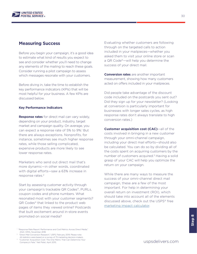

### **Measuring Success**

Before you begin your campaign, it's a good idea to estimate what kind of results you expect to see and consider whether you'll need to change any elements of the mailing to reach these goals. Consider running a pilot campaign to assess which messages resonate with your customers.

Before diving in, take the time to establish the key performance indicators (KPIs) that will be most helpful for your business. A few KPIs are discussed below.

#### **Key Performance Indicators**

**Response rates** for direct mail can vary widely, depending on your product, industry, target market and campaign quality. On average, you can expect a response rate of 5% to 9%.<sup>1</sup> But there are always exceptions. Nonprofits, for instance, sometimes see much higher response rates, while those selling complicated, expensive products are more likely to see lower response rates.

Marketers who send out direct mail that's more dynamic—in other words, coordinated with digital efforts—saw a 63% increase in response rates.<sup>2</sup>

Start by assessing customer activity through your campaign's trackable QR Codes®, PURLs, coupon codes and phone numbers. What resonated most with your customer segments? QR Codes® that linked to the product web pages of items they viewed online? Postcards that built excitement around in-store events promoted on social media?

 "Direct Mail Conversion Research," USPS, February 2019. Please note: All statistics were based on a survey of 75 marketing decision-makers.

<sup>3</sup> "Customer Acquisition Cost: The One Metric That Can Determine Your Company's Fate," Neil Patel, April 2015.

Evaluating whether customers are following through on the targeted calls to action included in your mailpieces—whether you asked them to visit your online store or scan a QR Code®—will help you determine the success of your direct mail.

**Conversion rates** are another important measurement, showing how many customers acted on offers included in your mailpieces.

Did people take advantage of the discount code included on the postcards you sent out? Did they sign up for your newsletter? (Looking at conversion is particularly important for businesses with longer sales cycles, as high response rates don't always translate to high conversion rates.)

**Customer acquisition cost (CAC)**—all of the costs involved in bringing in a new customer through your omni-channel campaign, including your direct mail efforts—should also be calculated. You can do so by dividing all of the costs spent on acquiring customers by the number of customers acquired.<sup>3</sup> Having a solid grasp of your CAC will help you optimize the return on your campaign.

While there are many ways to measure the success of your omni-channel direct mail campaign, these are a few of the most important. For help in determining your overall return on investment (ROI), which should take into account all of the elements discussed above, check out the USPS® free [marketing impact calculator](https://www.uspsdelivers.com/rom-calculator/?B457).

<sup>1</sup> "Response Rate Report: Performance and Cost Metrics Across Direct Media," ANA | DMA, November 2018.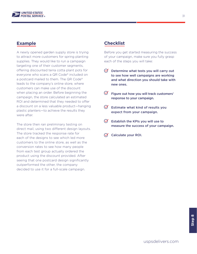

A newly opened garden supply store is trying to attract more customers for spring planting supplies. They would like to run a campaign targeting one of their customer segments, offering discounted terra cotta plant pots for everyone who scans a QR Code® included on a postcard mailed to them. The QR Code® leads to the company's online store, where customers can make use of the discount when placing an order. Before beginning the campaign, the store calculated an estimated ROI and determined that they needed to offer a discount on a less valuable product—hanging plastic planters—to achieve the results they were after.

The store then ran preliminary testing on direct mail, using two different design layouts. The store tracked the response rate for each of the designs to see which led more customers to the online store, as well as the conversion rates to see how many people from each test group actually ordered the product using the discount provided. After seeing that one postcard design significantly outperformed the other, the company decided to use it for a full-scale campaign.

# **Example Checklist**

Before you get started measuring the success of your campaign, make sure you fully grasp each of the steps you will take:

- $\Theta$  Determine what tests you will carry out to see how well campaigns are working and what direction you should take with new ones.
- $\mathcal{F}$  Figure out how you will track customers' response to your campaign.
- $\Theta$  Estimate what kind of results you expect from your campaign.
- $\bigcirc$  Establish the KPIs you will use to measure the success of your campaign.
- $\oslash$  Calculate your ROI.